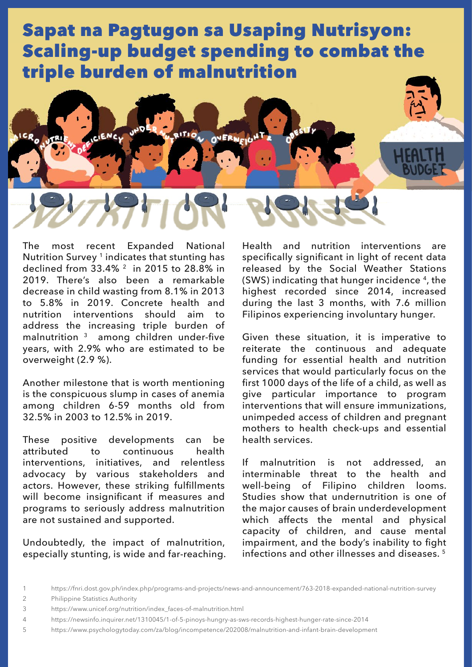

The most recent Expanded National Nutrition Survey<sup>1</sup> indicates that stunting has declined from 33.4% 2 in 2015 to 28.8% in 2019. There's also been a remarkable decrease in child wasting from 8.1% in 2013 to 5.8% in 2019. Concrete health and nutrition interventions should aim to address the increasing triple burden of malnutrition 3 among children under-five years, with 2.9% who are estimated to be overweight (2.9 %).

Another milestone that is worth mentioning is the conspicuous slump in cases of anemia among children 6-59 months old from 32.5% in 2003 to 12.5% in 2019.

These positive developments can be attributed to continuous health interventions, initiatives, and relentless advocacy by various stakeholders and actors. However, these striking fulfillments will become insignificant if measures and programs to seriously address malnutrition are not sustained and supported.

Undoubtedly, the impact of malnutrition, especially stunting, is wide and far-reaching. Health and nutrition interventions are specifically significant in light of recent data released by the Social Weather Stations (SWS) indicating that hunger incidence 4, the highest recorded since 2014, increased during the last 3 months, with 7.6 million Filipinos experiencing involuntary hunger.

Given these situation, it is imperative to reiterate the continuous and adequate funding for essential health and nutrition services that would particularly focus on the first 1000 days of the life of a child, as well as give particular importance to program interventions that will ensure immunizations, unimpeded access of children and pregnant mothers to health check-ups and essential health services.

If malnutrition is not addressed, an interminable threat to the health and well-being of Filipino children looms. Studies show that undernutrition is one of the major causes of brain underdevelopment which affects the mental and physical capacity of children, and cause mental impairment, and the body's inability to fight infections and other illnesses and diseases. 5

2 Philippine Statistics Authority

<sup>1</sup> https://fnri.dost.gov.ph/index.php/programs-and-projects/news-and-announcement/763-2018-expanded-national-nutrition-survey

<sup>3</sup> https://www.unicef.org/nutrition/index\_faces-of-malnutrition.html

<sup>4</sup> https://newsinfo.inquirer.net/1310045/1-of-5-pinoys-hungry-as-sws-records-highest-hunger-rate-since-2014

<sup>5</sup> https://www.psychologytoday.com/za/blog/incompetence/202008/malnutrition-and-infant-brain-development